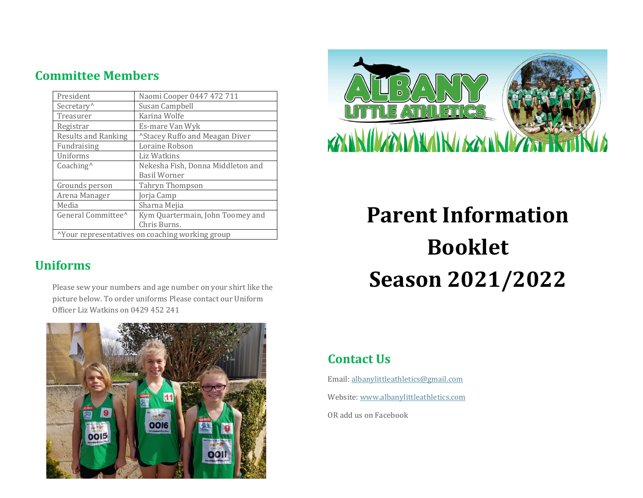# **Committee Members**

| President                                        | Naomi Cooper 0447 472 711                  |  |
|--------------------------------------------------|--------------------------------------------|--|
| Secretary <sup>^</sup>                           | Susan Campbell                             |  |
| Treasurer                                        | Karina Wolfe                               |  |
| Registrar                                        | Es-mare Van Wyk                            |  |
| <b>Results and Ranking</b>                       | <sup>^</sup> Stacey Ruffo and Meagan Diver |  |
| Fundraising                                      | Loraine Robson                             |  |
| Uniforms                                         | Liz Watkins                                |  |
| $Coaching^$                                      | Nekesha Fish, Donna Middleton and          |  |
|                                                  | <b>Basil Worner</b>                        |  |
| Grounds person                                   | Tahryn Thompson                            |  |
| Arena Manager                                    | Jorja Camp                                 |  |
| Media                                            | Sharna Mejia                               |  |
| General Committee <sup>^</sup>                   | Kym Quartermain, John Toomey and           |  |
|                                                  | Chris Burns.                               |  |
| "Your representatives on coaching working group" |                                            |  |

# **Uniforms**

Please sew your numbers and age number on your shirt like the picture below. To order uniforms Please contact our Uniform Officer Liz Watkins on 0429 452 241





# **Parent Information Booklet Season 2021/2022**

# **Contact Us**

Email: [albanylittleathletics@gmail.com](mailto:albanylittleathletics@gmail.com) Website[: www.albanylittleathletics.com](http://www.albanylittleathletics.com/)

OR add us on Facebook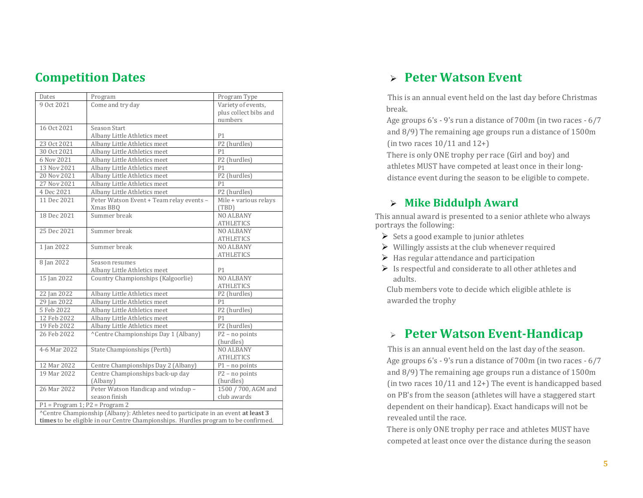## **Competition Dates**

| Dates                            | Program                                                                            | Program Type          |
|----------------------------------|------------------------------------------------------------------------------------|-----------------------|
| 9 Oct 2021                       | Come and try day                                                                   | Variety of events,    |
|                                  |                                                                                    | plus collect bibs and |
|                                  |                                                                                    | numbers               |
| 16 Oct 2021                      | Season Start                                                                       |                       |
|                                  | Albany Little Athletics meet                                                       | P <sub>1</sub>        |
| 23 Oct 2021                      | Albany Little Athletics meet                                                       | P2 (hurdles)          |
| 30 Oct 2021                      | Albany Little Athletics meet                                                       | P <sub>1</sub>        |
| 6 Nov 2021                       | Albany Little Athletics meet                                                       | P2 (hurdles)          |
| 13 Nov 2021                      | Albany Little Athletics meet                                                       | P <sub>1</sub>        |
| 20 Nov 2021                      | Albany Little Athletics meet                                                       | P2 (hurdles)          |
| 27 Nov 2021                      | Albany Little Athletics meet                                                       | P <sub>1</sub>        |
| 4 Dec 2021                       | Albany Little Athletics meet                                                       | P2 (hurdles)          |
| 11 Dec 2021                      | Peter Watson Event + Team relay events -                                           | Mile + various relays |
|                                  | Xmas BBQ                                                                           | (TBD)                 |
| 18 Dec 2021                      | Summer break                                                                       | <b>NO ALBANY</b>      |
|                                  |                                                                                    | <b>ATHLETICS</b>      |
| 25 Dec 2021                      | Summer break                                                                       | <b>NO ALBANY</b>      |
|                                  |                                                                                    | <b>ATHLETICS</b>      |
| 1 Jan 2022                       | Summer break                                                                       | <b>NO ALBANY</b>      |
|                                  |                                                                                    | <b>ATHLETICS</b>      |
| 8 Jan 2022                       | Season resumes                                                                     |                       |
|                                  | Albany Little Athletics meet                                                       | P <sub>1</sub>        |
| 15 Jan 2022                      | Country Championships (Kalgoorlie)                                                 | <b>NO ALBANY</b>      |
|                                  |                                                                                    | <b>ATHLETICS</b>      |
| 22 Jan 2022                      | Albany Little Athletics meet                                                       | P2 (hurdles)          |
| 29 Jan 2022                      | Albany Little Athletics meet                                                       | P <sub>1</sub>        |
| 5 Feb 2022                       | Albany Little Athletics meet                                                       | P2 (hurdles)          |
| 12 Feb 2022                      | Albany Little Athletics meet                                                       | P <sub>1</sub>        |
| 19 Feb 2022                      | Albany Little Athletics meet                                                       | P2 (hurdles)          |
| 26 Feb 2022                      | ^Centre Championships Day 1 (Albany)                                               | $P2 - no points$      |
|                                  |                                                                                    | (hurdles)             |
| 4-6 Mar 2022                     | State Championships (Perth)                                                        | <b>NO ALBANY</b>      |
|                                  |                                                                                    | <b>ATHLETICS</b>      |
| 12 Mar 2022                      | Centre Championships Day 2 (Albany)                                                | $P1$ – no points      |
| 19 Mar 2022                      | Centre Championships back-up day                                                   | $P2$ – no points      |
|                                  | (Albany)                                                                           | (hurdles)             |
| 26 Mar 2022                      | Peter Watson Handicap and windup -                                                 | 1500 / 700, AGM and   |
|                                  | season finish                                                                      | club awards           |
| $P1 = Program 1; P2 = Program 2$ |                                                                                    |                       |
|                                  | ^Centre Championship (Albany): Athletes need to participate in an event at least 3 |                       |
|                                  | times to be eligible in our Centre Championships. Hurdles program to be confirmed. |                       |

## ➢ **Peter Watson Event**

 This is an annual event held on the last day before Christmas break.

Age groups 6's - 9's run a distance of 700m (in two races - 6/7 and 8/9) The remaining age groups run a distance of 1500m (in two races 10/11 and 12+)

There is only ONE trophy per race (Girl and boy) and athletes MUST have competed at least once in their longdistance event during the season to be eligible to compete.

#### ➢ **Mike Biddulph Award**

This annual award is presented to a senior athlete who always portrays the following:

- $\triangleright$  Sets a good example to junior athletes
- $\triangleright$  Willingly assists at the club whenever required
- $\triangleright$  Has regular attendance and participation
- $\triangleright$  Is respectful and considerate to all other athletes and adults.

Club members vote to decide which eligible athlete is awarded the trophy

## ➢ **Peter Watson Event-Handicap**

 This is an annual event held on the last day of the season. Age groups 6's - 9's run a distance of 700m (in two races - 6/7 and 8/9) The remaining age groups run a distance of 1500m (in two races 10/11 and 12+) The event is handicapped based on PB's from the season (athletes will have a staggered start dependent on their handicap). Exact handicaps will not be revealed until the race.

There is only ONE trophy per race and athletes MUST have competed at least once over the distance during the season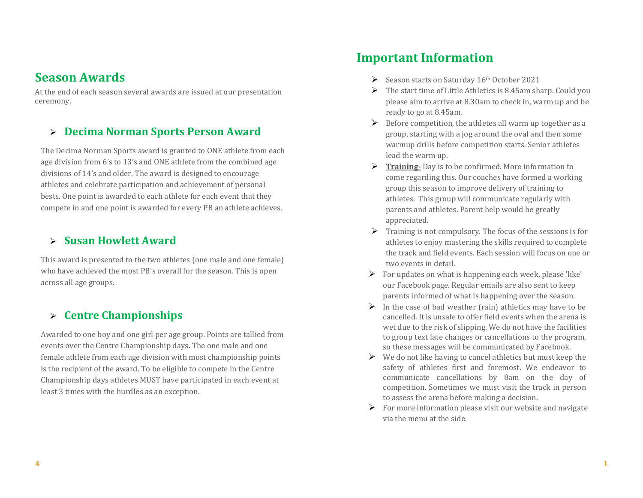#### **Season Awards**

At the end of each season several awards are issued at our presentation ceremony.

#### ➢ **Decima Norman Sports Person Award**

The Decima Norman Sports award is granted to ONE athlete from each age division from 6's to 13's and ONE athlete from the combined age divisions of 14's and older. The award is designed to encourage athletes and celebrate participation and achievement of personal bests. One point is awarded to each athlete for each event that they compete in and one point is awarded for every PB an athlete achieves.

#### ➢ **Susan Howlett Award**

This award is presented to the two athletes (one male and one female) who have achieved the most PB's overall for the season. This is open across all age groups.

#### ➢ **Centre Championships**

Awarded to one boy and one girl per age group. Points are tallied from events over the Centre Championship days. The one male and one female athlete from each age division with most championship points is the recipient of the award. To be eligible to compete in the Centre Championship days athletes MUST have participated in each event at least 3 times with the hurdles as an exception.

## **Important Information**

- ➢ Season starts on Saturday 16th October 2021
- $\triangleright$  The start time of Little Athletics is 8.45am sharp. Could you please aim to arrive at 8.30am to check in, warm up and be ready to go at 8.45am.
- $\triangleright$  Before competition, the athletes all warm up together as a group, starting with a jog around the oval and then some warmup drills before competition starts. Senior athletes lead the warm up.
- ➢ **Training-** Day is to be confirmed. More information to come regarding this. Our coaches have formed a working group this season to improve delivery of training to athletes. This group will communicate regularly with parents and athletes. Parent help would be greatly appreciated.
- ➢ Training is not compulsory. The focus of the sessions is for athletes to enjoy mastering the skills required to complete the track and field events. Each session will focus on one or two events in detail.
- $\triangleright$  For updates on what is happening each week, please 'like' our Facebook page. Regular emails are also sent to keep parents informed of what is happening over the season.
- $\triangleright$  In the case of bad weather (rain) athletics may have to be cancelled. It is unsafe to offer field events when the arena is wet due to the risk of slipping. We do not have the facilities to group text late changes or cancellations to the program, so these messages will be communicated by Facebook.
- $\triangleright$  We do not like having to cancel athletics but must keep the safety of athletes first and foremost. We endeavor to communicate cancellations by 8am on the day of competition. Sometimes we must visit the track in person to assess the arena before making a decision.
- $\triangleright$  For more information please visit our website and navigate via the menu at the side.